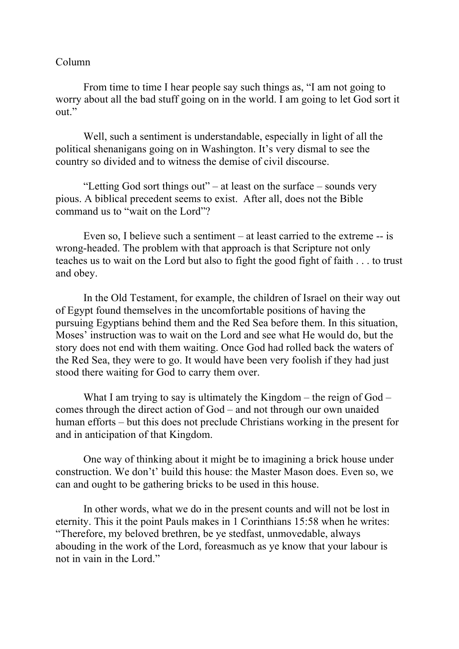## Column

From time to time I hear people say such things as, "I am not going to worry about all the bad stuff going on in the world. I am going to let God sort it out."

Well, such a sentiment is understandable, especially in light of all the political shenanigans going on in Washington. It's very dismal to see the country so divided and to witness the demise of civil discourse.

"Letting God sort things out" – at least on the surface – sounds very pious. A biblical precedent seems to exist. After all, does not the Bible command us to "wait on the Lord"?

Even so, I believe such a sentiment – at least carried to the extreme -- is wrong-headed. The problem with that approach is that Scripture not only teaches us to wait on the Lord but also to fight the good fight of faith . . . to trust and obey.

In the Old Testament, for example, the children of Israel on their way out of Egypt found themselves in the uncomfortable positions of having the pursuing Egyptians behind them and the Red Sea before them. In this situation, Moses' instruction was to wait on the Lord and see what He would do, but the story does not end with them waiting. Once God had rolled back the waters of the Red Sea, they were to go. It would have been very foolish if they had just stood there waiting for God to carry them over.

What I am trying to say is ultimately the Kingdom – the reign of God – comes through the direct action of God – and not through our own unaided human efforts – but this does not preclude Christians working in the present for and in anticipation of that Kingdom.

One way of thinking about it might be to imagining a brick house under construction. We don't' build this house: the Master Mason does. Even so, we can and ought to be gathering bricks to be used in this house.

In other words, what we do in the present counts and will not be lost in eternity. This it the point Pauls makes in 1 Corinthians 15:58 when he writes: "Therefore, my beloved brethren, be ye stedfast, unmovedable, always abouding in the work of the Lord, foreasmuch as ye know that your labour is not in vain in the Lord."